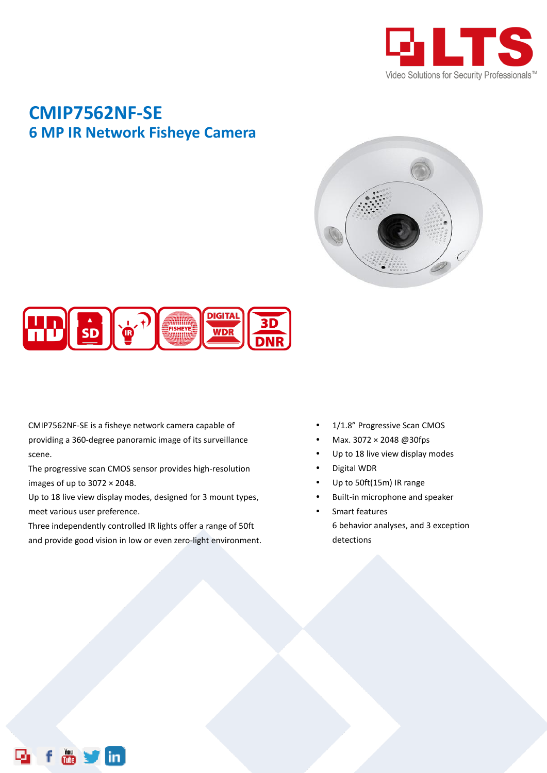

## **CMIP7562NF-SE 6 MP IR Network Fisheye Camera**





CMIP7562NF-SE is a fisheye network camera capable of providing a 360-degree panoramic image of its surveillance scene.

The progressive scan CMOS sensor provides high-resolution images of up to  $3072 \times 2048$ .

Up to 18 live view display modes, designed for 3 mount types, meet various user preference.

Three independently controlled IR lights offer a range of 50ft and provide good vision in low or even zero-light environment.

- 1/1.8" Progressive Scan CMOS
- Max. 3072 × 2048 @30fps
- Up to 18 live view display modes
- Digital WDR
- Up to 50ft(15m) IR range
- Built-in microphone and speaker
- Smart features 6 behavior analyses, and 3 exception detections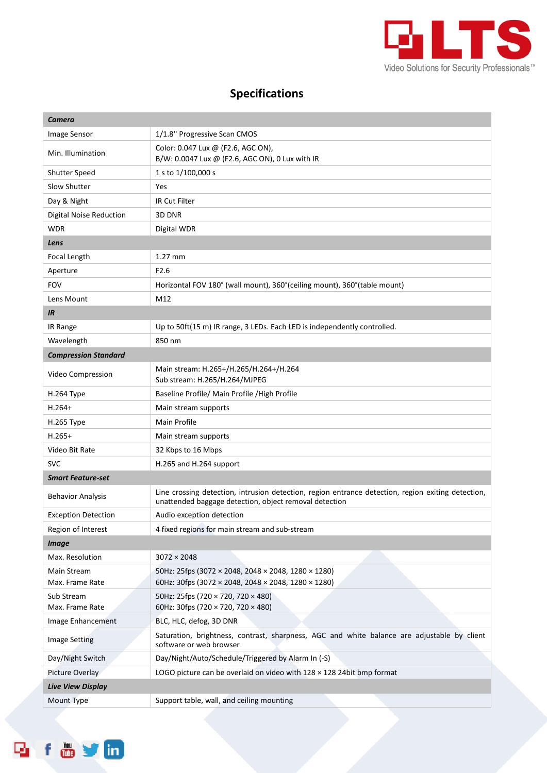

## **Specifications**

| Camera                         |                                                                                                                                                              |  |  |
|--------------------------------|--------------------------------------------------------------------------------------------------------------------------------------------------------------|--|--|
| Image Sensor                   | 1/1.8" Progressive Scan CMOS                                                                                                                                 |  |  |
| Min. Illumination              | Color: 0.047 Lux @ (F2.6, AGC ON),<br>B/W: 0.0047 Lux @ (F2.6, AGC ON), 0 Lux with IR                                                                        |  |  |
| <b>Shutter Speed</b>           | 1 s to 1/100,000 s                                                                                                                                           |  |  |
| Slow Shutter                   | Yes                                                                                                                                                          |  |  |
| Day & Night                    | IR Cut Filter                                                                                                                                                |  |  |
| <b>Digital Noise Reduction</b> | 3D DNR                                                                                                                                                       |  |  |
| <b>WDR</b>                     | Digital WDR                                                                                                                                                  |  |  |
| Lens                           |                                                                                                                                                              |  |  |
| Focal Length                   | $1.27$ mm                                                                                                                                                    |  |  |
| Aperture                       | F2.6                                                                                                                                                         |  |  |
| <b>FOV</b>                     | Horizontal FOV 180° (wall mount), 360° (ceiling mount), 360° (table mount)                                                                                   |  |  |
| Lens Mount                     | M12                                                                                                                                                          |  |  |
| IR.                            |                                                                                                                                                              |  |  |
| IR Range                       | Up to 50ft(15 m) IR range, 3 LEDs. Each LED is independently controlled.                                                                                     |  |  |
| Wavelength                     | 850 nm                                                                                                                                                       |  |  |
| <b>Compression Standard</b>    |                                                                                                                                                              |  |  |
| Video Compression              | Main stream: H.265+/H.265/H.264+/H.264<br>Sub stream: H.265/H.264/MJPEG                                                                                      |  |  |
| H.264 Type                     | Baseline Profile/ Main Profile / High Profile                                                                                                                |  |  |
| $H.264+$                       | Main stream supports                                                                                                                                         |  |  |
| H.265 Type                     | Main Profile                                                                                                                                                 |  |  |
| $H.265+$                       | Main stream supports                                                                                                                                         |  |  |
| Video Bit Rate                 | 32 Kbps to 16 Mbps                                                                                                                                           |  |  |
| <b>SVC</b>                     | H.265 and H.264 support                                                                                                                                      |  |  |
| <b>Smart Feature-set</b>       |                                                                                                                                                              |  |  |
| <b>Behavior Analysis</b>       | Line crossing detection, intrusion detection, region entrance detection, region exiting detection,<br>unattended baggage detection, object removal detection |  |  |
| <b>Exception Detection</b>     | Audio exception detection                                                                                                                                    |  |  |
| Region of Interest             | 4 fixed regions for main stream and sub-stream                                                                                                               |  |  |
| <b>Image</b>                   |                                                                                                                                                              |  |  |
| Max. Resolution                | $3072 \times 2048$                                                                                                                                           |  |  |
| Main Stream<br>Max. Frame Rate | 50Hz: 25fps (3072 × 2048, 2048 × 2048, 1280 × 1280)<br>60Hz: 30fps (3072 × 2048, 2048 × 2048, 1280 × 1280)                                                   |  |  |
| Sub Stream<br>Max. Frame Rate  | 50Hz: 25fps (720 × 720, 720 × 480)<br>60Hz: 30fps (720 × 720, 720 × 480)                                                                                     |  |  |
| Image Enhancement              | BLC, HLC, defog, 3D DNR                                                                                                                                      |  |  |
| <b>Image Setting</b>           | Saturation, brightness, contrast, sharpness, AGC and white balance are adjustable by client<br>software or web browser                                       |  |  |
| Day/Night Switch               | Day/Night/Auto/Schedule/Triggered by Alarm In (-S)                                                                                                           |  |  |
| Picture Overlay                | LOGO picture can be overlaid on video with $128 \times 128$ 24bit bmp format                                                                                 |  |  |
| <b>Live View Display</b>       |                                                                                                                                                              |  |  |
| Mount Type                     | Support table, wall, and ceiling mounting                                                                                                                    |  |  |

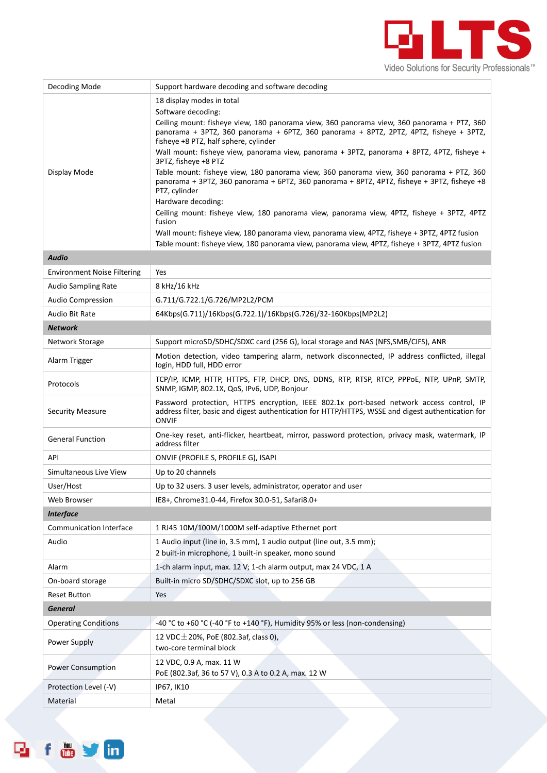

| Decoding Mode                      | Support hardware decoding and software decoding                                                                                                                                                                               |
|------------------------------------|-------------------------------------------------------------------------------------------------------------------------------------------------------------------------------------------------------------------------------|
|                                    | 18 display modes in total                                                                                                                                                                                                     |
|                                    | Software decoding:                                                                                                                                                                                                            |
|                                    | Ceiling mount: fisheye view, 180 panorama view, 360 panorama view, 360 panorama + PTZ, 360<br>panorama + 3PTZ, 360 panorama + 6PTZ, 360 panorama + 8PTZ, 2PTZ, 4PTZ, fisheye + 3PTZ,<br>fisheye +8 PTZ, half sphere, cylinder |
|                                    | Wall mount: fisheye view, panorama view, panorama + 3PTZ, panorama + 8PTZ, 4PTZ, fisheye +<br>3PTZ, fisheye +8 PTZ                                                                                                            |
| Display Mode                       | Table mount: fisheye view, 180 panorama view, 360 panorama view, 360 panorama + PTZ, 360<br>panorama + 3PTZ, 360 panorama + 6PTZ, 360 panorama + 8PTZ, 4PTZ, fisheye + 3PTZ, fisheye +8<br>PTZ, cylinder                      |
|                                    | Hardware decoding:                                                                                                                                                                                                            |
|                                    | Ceiling mount: fisheye view, 180 panorama view, panorama view, 4PTZ, fisheye + 3PTZ, 4PTZ<br>fusion                                                                                                                           |
|                                    | Wall mount: fisheye view, 180 panorama view, panorama view, 4PTZ, fisheye + 3PTZ, 4PTZ fusion                                                                                                                                 |
|                                    | Table mount: fisheye view, 180 panorama view, panorama view, 4PTZ, fisheye + 3PTZ, 4PTZ fusion                                                                                                                                |
| <b>Audio</b>                       |                                                                                                                                                                                                                               |
| <b>Environment Noise Filtering</b> | Yes                                                                                                                                                                                                                           |
| <b>Audio Sampling Rate</b>         | 8 kHz/16 kHz                                                                                                                                                                                                                  |
| <b>Audio Compression</b>           | G.711/G.722.1/G.726/MP2L2/PCM                                                                                                                                                                                                 |
| Audio Bit Rate                     | 64Kbps(G.711)/16Kbps(G.722.1)/16Kbps(G.726)/32-160Kbps(MP2L2)                                                                                                                                                                 |
| <b>Network</b>                     |                                                                                                                                                                                                                               |
| Network Storage                    | Support microSD/SDHC/SDXC card (256 G), local storage and NAS (NFS, SMB/CIFS), ANR                                                                                                                                            |
| Alarm Trigger                      | Motion detection, video tampering alarm, network disconnected, IP address conflicted, illegal<br>login, HDD full, HDD error                                                                                                   |
| Protocols                          | TCP/IP, ICMP, HTTP, HTTPS, FTP, DHCP, DNS, DDNS, RTP, RTSP, RTCP, PPPOE, NTP, UPnP, SMTP,<br>SNMP, IGMP, 802.1X, QoS, IPv6, UDP, Bonjour                                                                                      |
| <b>Security Measure</b>            | Password protection, HTTPS encryption, IEEE 802.1x port-based network access control, IP<br>address filter, basic and digest authentication for HTTP/HTTPS, WSSE and digest authentication for<br><b>ONVIF</b>                |
| <b>General Function</b>            | One-key reset, anti-flicker, heartbeat, mirror, password protection, privacy mask, watermark, IP<br>address filter                                                                                                            |
| <b>API</b>                         | ONVIF (PROFILE S, PROFILE G), ISAPI                                                                                                                                                                                           |
| Simultaneous Live View             | Up to 20 channels                                                                                                                                                                                                             |
| User/Host                          | Up to 32 users. 3 user levels, administrator, operator and user                                                                                                                                                               |
| Web Browser                        | IE8+, Chrome31.0-44, Firefox 30.0-51, Safari8.0+                                                                                                                                                                              |
| <b>Interface</b>                   |                                                                                                                                                                                                                               |
| <b>Communication Interface</b>     | 1 RJ45 10M/100M/1000M self-adaptive Ethernet port                                                                                                                                                                             |
| Audio                              | 1 Audio input (line in, 3.5 mm), 1 audio output (line out, 3.5 mm);<br>2 built-in microphone, 1 built-in speaker, mono sound                                                                                                  |
| Alarm                              | 1-ch alarm input, max. 12 V; 1-ch alarm output, max 24 VDC, 1 A                                                                                                                                                               |
| On-board storage                   | Built-in micro SD/SDHC/SDXC slot, up to 256 GB                                                                                                                                                                                |
| <b>Reset Button</b>                | Yes                                                                                                                                                                                                                           |
| <b>General</b>                     |                                                                                                                                                                                                                               |
| <b>Operating Conditions</b>        | -40 °C to +60 °C (-40 °F to +140 °F), Humidity 95% or less (non-condensing)                                                                                                                                                   |
| Power Supply                       | 12 VDC $\pm$ 20%, PoE (802.3af, class 0),<br>two-core terminal block                                                                                                                                                          |
| <b>Power Consumption</b>           | 12 VDC, 0.9 A, max. 11 W<br>PoE (802.3af, 36 to 57 V), 0.3 A to 0.2 A, max. 12 W                                                                                                                                              |
| Protection Level (-V)              | IP67, IK10                                                                                                                                                                                                                    |
| Material                           | Metal                                                                                                                                                                                                                         |